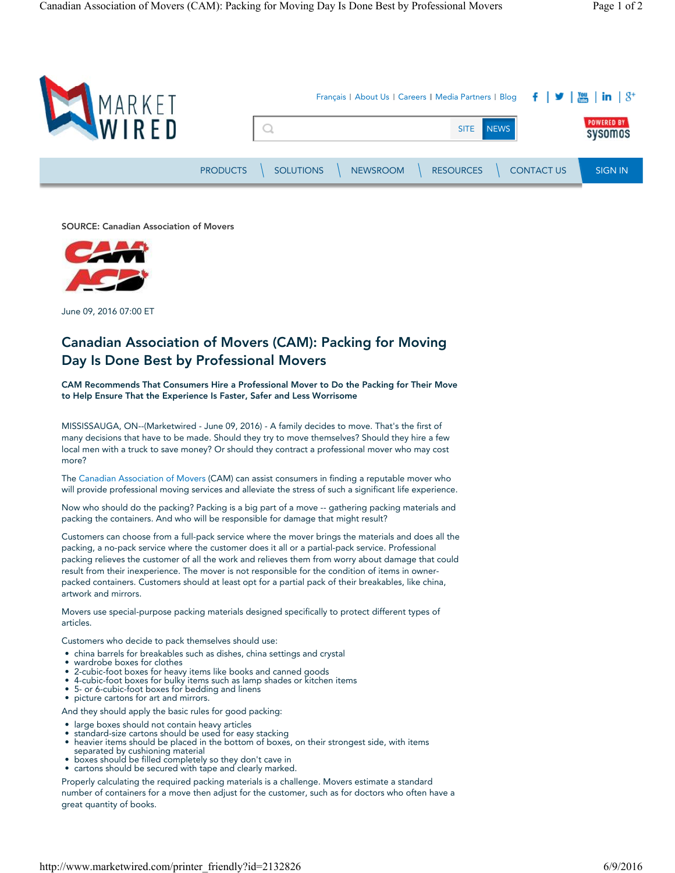

SOURCE: Canadian Association of Movers



June 09, 2016 07:00 ET

# Canadian Association of Movers (CAM): Packing for Moving Day Is Done Best by Professional Movers

CAM Recommends That Consumers Hire a Professional Mover to Do the Packing for Their Move to Help Ensure That the Experience Is Faster, Safer and Less Worrisome

MISSISSAUGA, ON--(Marketwired - June 09, 2016) - A family decides to move. That's the first of many decisions that have to be made. Should they try to move themselves? Should they hire a few local men with a truck to save money? Or should they contract a professional mover who may cost more?

The Canadian Association of Movers (CAM) can assist consumers in finding a reputable mover who will provide professional moving services and alleviate the stress of such a significant life experience.

Now who should do the packing? Packing is a big part of a move -- gathering packing materials and packing the containers. And who will be responsible for damage that might result?

Customers can choose from a full-pack service where the mover brings the materials and does all the packing, a no-pack service where the customer does it all or a partial-pack service. Professional packing relieves the customer of all the work and relieves them from worry about damage that could result from their inexperience. The mover is not responsible for the condition of items in ownerpacked containers. Customers should at least opt for a partial pack of their breakables, like china, artwork and mirrors.

Movers use special-purpose packing materials designed specifically to protect different types of articles.

Customers who decide to pack themselves should use:

- china barrels for breakables such as dishes, china settings and crystal
- wardrobe boxes for clothes
- 2-cubic-foot boxes for heavy items like books and canned goods
- 4-cubic-foot boxes for bulky items such as lamp shades or kitchen items 5- or 6-cubic-foot boxes for bedding and linens
- 
- picture cartons for art and mirrors.

And they should apply the basic rules for good packing:

- large boxes should not contain heavy articles
- 
- standard-size cartons should be used for easy stacking heavier items should be placed in the bottom of boxes, on their strongest side, with items
- 
- separated by cushioning material boxes should be filled completely so they don't cave in
- cartons should be secured with tape and clearly marked.

Properly calculating the required packing materials is a challenge. Movers estimate a standard number of containers for a move then adjust for the customer, such as for doctors who often have a great quantity of books.